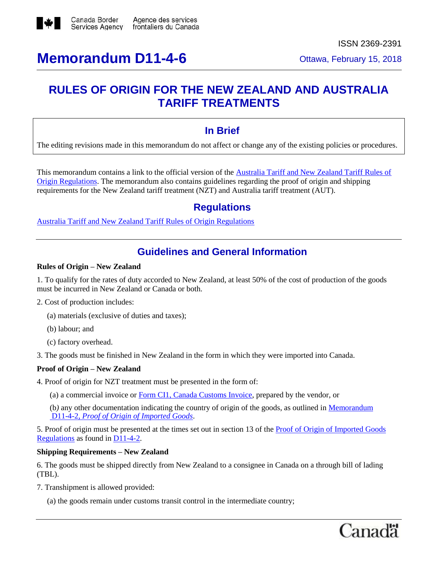

ISSN 2369-2391

# **RULES OF ORIGIN FOR THE NEW ZEALAND AND AUSTRALIA TARIFF TREATMENTS**

# **In Brief**

The editing revisions made in this memorandum do not affect or change any of the existing policies or procedures.

This memorandum contains a link to the official version of the [Australia Tariff and New Zealand Tariff Rules of](http://laws-lois.justice.gc.ca/eng/regulations/SOR-98-35/page-1.html)  [Origin Regulations.](http://laws-lois.justice.gc.ca/eng/regulations/SOR-98-35/page-1.html) The memorandum also contains guidelines regarding the proof of origin and shipping requirements for the New Zealand tariff treatment (NZT) and Australia tariff treatment (AUT).

# **Regulations**

[Australia Tariff and New Zealand Tariff Rules of Origin Regulations](http://laws-lois.justice.gc.ca/eng/regulations/SOR-98-35/page-1.html)

# **Guidelines and General Information**

### **Rules of Origin – New Zealand**

1. To qualify for the rates of duty accorded to New Zealand, at least 50% of the cost of production of the goods must be incurred in New Zealand or Canada or both.

- 2. Cost of production includes:
	- (a) materials (exclusive of duties and taxes);
	- (b) labour; and
	- (c) factory overhead.

3. The goods must be finished in New Zealand in the form in which they were imported into Canada.

## **Proof of Origin – New Zealand**

- 4. Proof of origin for NZT treatment must be presented in the form of:
	- (a) a commercial invoice or [Form CI1, Canada Customs Invoice,](http://www.cbsa-asfc.gc.ca/publications/forms-formulaires/ci1-eng.html) prepared by the vendor, or

(b*)* any other documentation indicating the country of origin of the goods, as outlined in [Memorandum](http://www.cbsa-asfc.gc.ca/publications/dm-md/d11/d11-4-2-eng.html) D11-4-2, *[Proof of Origin](http://www.cbsa-asfc.gc.ca/publications/dm-md/d11/d11-4-2-eng.html) of Imported Goods*.

5. Proof of origin must be presented at the times set out in section 13 of the [Proof of Origin of Imported Goods](http://laws-lois.justice.gc.ca/eng/regulations/SOR-98-52/page-1.html)  [Regulations](http://laws-lois.justice.gc.ca/eng/regulations/SOR-98-52/page-1.html) as found in [D11-4-2.](https://www.cbsa-asfc.gc.ca/publications/dm-md/d11/d11-4-2-eng.html)

## **Shipping Requirements – New Zealand**

6. The goods must be shipped directly from New Zealand to a consignee in Canada on a through bill of lading (TBL).

7. Transhipment is allowed provided:

(a) the goods remain under customs transit control in the intermediate country;

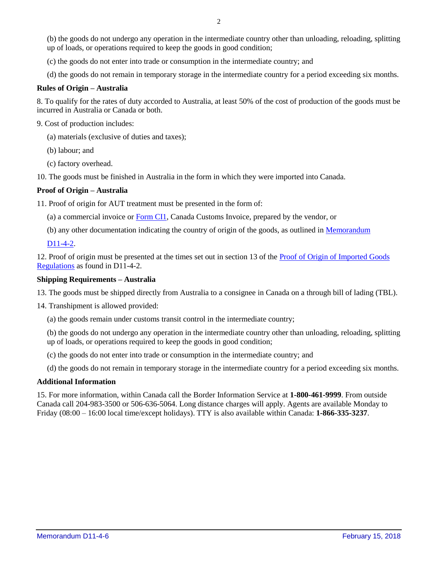(b) the goods do not undergo any operation in the intermediate country other than unloading, reloading, splitting up of loads, or operations required to keep the goods in good condition;

- (c) the goods do not enter into trade or consumption in the intermediate country; and
- (d) the goods do not remain in temporary storage in the intermediate country for a period exceeding six months.

### **Rules of Origin – Australia**

8. To qualify for the rates of duty accorded to Australia, at least 50% of the cost of production of the goods must be incurred in Australia or Canada or both.

9. Cost of production includes:

- (a) materials (exclusive of duties and taxes);
- (b) labour; and
- (c) factory overhead.
- 10. The goods must be finished in Australia in the form in which they were imported into Canada.

### **Proof of Origin – Australia**

11. Proof of origin for AUT treatment must be presented in the form of:

(a) a commercial invoice or [Form CI1,](http://www.cbsa-asfc.gc.ca/publications/forms-formulaires/ci1-eng.html) Canada Customs Invoice, prepared by the vendor, or

(b) any other documentation indicating the country of origin of the goods, as outlined in [Memorandum](http://www.cbsa-asfc.gc.ca/publications/dm-md/d11/d11-4-2-eng.html) 

[D11-4-2.](http://www.cbsa-asfc.gc.ca/publications/dm-md/d11/d11-4-2-eng.html)

12. Proof of origin must be presented at the times set out in section 13 of the [Proof of Origin of Imported Goods](http://laws-lois.justice.gc.ca/eng/regulations/SOR-98-52/page-1.html)  [Regulations](http://laws-lois.justice.gc.ca/eng/regulations/SOR-98-52/page-1.html) as found in D11-4-2.

### **Shipping Requirements – Australia**

13. The goods must be shipped directly from Australia to a consignee in Canada on a through bill of lading (TBL).

14. Transhipment is allowed provided:

(a) the goods remain under customs transit control in the intermediate country;

(b) the goods do not undergo any operation in the intermediate country other than unloading, reloading, splitting up of loads, or operations required to keep the goods in good condition;

(c) the goods do not enter into trade or consumption in the intermediate country; and

(d) the goods do not remain in temporary storage in the intermediate country for a period exceeding six months.

### **Additional Information**

15. For more information, within Canada call the Border Information Service at **1-800-461-9999**. From outside Canada call 204-983-3500 or 506-636-5064. Long distance charges will apply. Agents are available Monday to Friday (08:00 – 16:00 local time/except holidays). TTY is also available within Canada: **1-866-335-3237**.